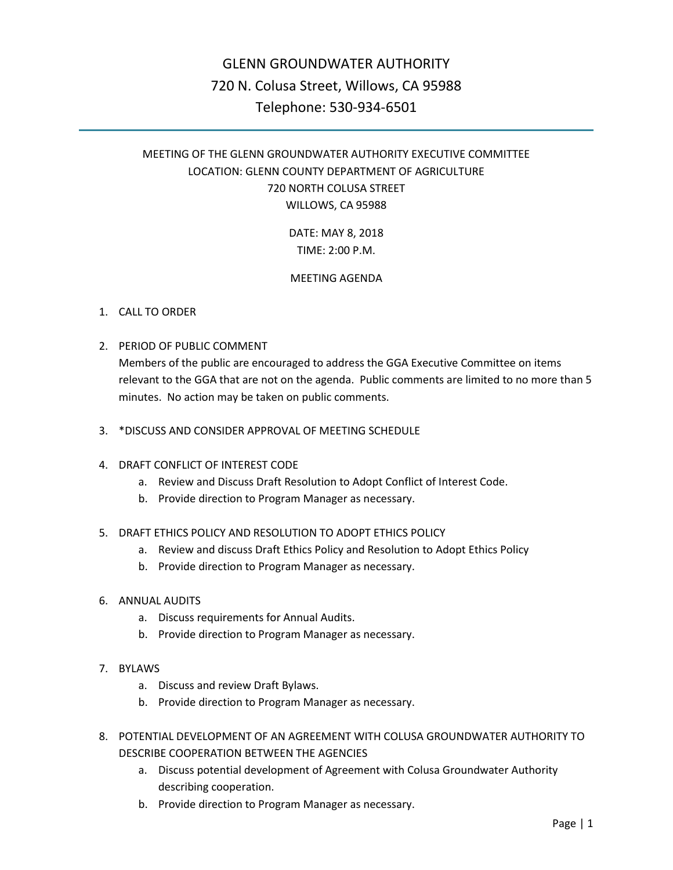# GLENN GROUNDWATER AUTHORITY 720 N. Colusa Street, Willows, CA 95988 Telephone: 530-934-6501

# MEETING OF THE GLENN GROUNDWATER AUTHORITY EXECUTIVE COMMITTEE LOCATION: GLENN COUNTY DEPARTMENT OF AGRICULTURE 720 NORTH COLUSA STREET WILLOWS, CA 95988

DATE: MAY 8, 2018 TIME: 2:00 P.M.

# MEETING AGENDA

# 1. CALL TO ORDER

2. PERIOD OF PUBLIC COMMENT

Members of the public are encouraged to address the GGA Executive Committee on items relevant to the GGA that are not on the agenda. Public comments are limited to no more than 5 minutes. No action may be taken on public comments.

- 3. \*DISCUSS AND CONSIDER APPROVAL OF MEETING SCHEDULE
- 4. DRAFT CONFLICT OF INTEREST CODE
	- a. Review and Discuss Draft Resolution to Adopt Conflict of Interest Code.
	- b. Provide direction to Program Manager as necessary.
- 5. DRAFT ETHICS POLICY AND RESOLUTION TO ADOPT ETHICS POLICY
	- a. Review and discuss Draft Ethics Policy and Resolution to Adopt Ethics Policy
	- b. Provide direction to Program Manager as necessary.
- 6. ANNUAL AUDITS
	- a. Discuss requirements for Annual Audits.
	- b. Provide direction to Program Manager as necessary.
- 7. BYLAWS
	- a. Discuss and review Draft Bylaws.
	- b. Provide direction to Program Manager as necessary.
- 8. POTENTIAL DEVELOPMENT OF AN AGREEMENT WITH COLUSA GROUNDWATER AUTHORITY TO DESCRIBE COOPERATION BETWEEN THE AGENCIES
	- a. Discuss potential development of Agreement with Colusa Groundwater Authority describing cooperation.
	- b. Provide direction to Program Manager as necessary.